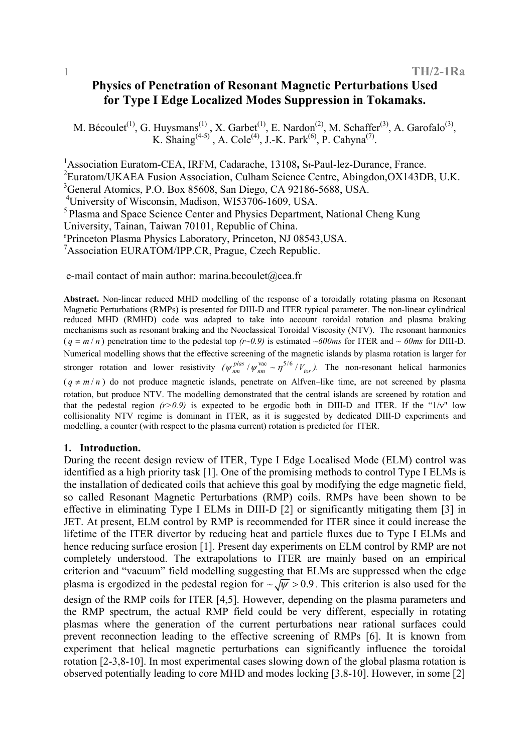# **Physics of Penetration of Resonant Magnetic Perturbations Used for Type I Edge Localized Modes Suppression in Tokamaks.**

M. Bécoulet<sup>(1)</sup>, G. Huysmans<sup>(1)</sup>, X. Garbet<sup>(1)</sup>, E. Nardon<sup>(2)</sup>, M. Schaffer<sup>(3)</sup>, A. Garofalo<sup>(3)</sup>, K. Shaing<sup>(4-5)</sup>, A. Cole<sup>(4)</sup>, J.-K. Park<sup>(6)</sup>, P. Cahyna<sup>(7)</sup>.

<sup>1</sup> Association Euratom-CEA, IRFM, Cadarache, 13108, St-Paul-lez-Durance, France.

<sup>2</sup> Euratom/UKAEA Fusion Association, Culham Science Centre, Abingdon, OX143DB, U.K.

3 General Atomics, P.O. Box 85608, San Diego, CA 92186-5688, USA.

4 University of Wisconsin, Madison, WI53706-1609, USA.

<sup>5</sup> Plasma and Space Science Center and Physics Department, National Cheng Kung

University, Tainan, Taiwan 70101, Republic of China.

6 Princeton Plasma Physics Laboratory, Princeton, NJ 08543,USA.

7 Association EURATOM/IPP.CR, Prague, Czech Republic.

e-mail contact of main author: marina.becoulet@cea.fr

**Abstract.** Non-linear reduced MHD modelling of the response of a toroidally rotating plasma on Resonant Magnetic Perturbations (RMPs) is presented for DIII-D and ITER typical parameter. The non-linear cylindrical reduced MHD (RMHD) code was adapted to take into account toroidal rotation and plasma braking mechanisms such as resonant braking and the Neoclassical Toroidal Viscosity (NTV). The resonant harmonics  $(q = m/n)$  penetration time to the pedestal top  $(r \sim 0.9)$  is estimated  $\sim 600$ ms for ITER and  $\sim 60$ ms for DIII-D. Numerical modelling shows that the effective screening of the magnetic islands by plasma rotation is larger for stronger rotation and lower resistivity  $(\psi_{nm}^{plas} / \psi_{nm}^{vac} \sim \eta^{5/6} / V_{tor})$ . The non-resonant helical harmonics  $(q \neq m/n)$  do not produce magnetic islands, penetrate on Alfven–like time, are not screened by plasma rotation, but produce NTV. The modelling demonstrated that the central islands are screened by rotation and that the pedestal region  $(r>0.9)$  is expected to be ergodic both in DIII-D and ITER. If the " $1/v$ " low collisionality NTV regime is dominant in ITER, as it is suggested by dedicated DIII-D experiments and modelling, a counter (with respect to the plasma current) rotation is predicted for ITER.

## **1. Introduction.**

During the recent design review of ITER, Type I Edge Localised Mode (ELM) control was identified as a high priority task [1]. One of the promising methods to control Type I ELMs is the installation of dedicated coils that achieve this goal by modifying the edge magnetic field, so called Resonant Magnetic Perturbations (RMP) coils. RMPs have been shown to be effective in eliminating Type I ELMs in DIII-D [2] or significantly mitigating them [3] in JET. At present, ELM control by RMP is recommended for ITER since it could increase the lifetime of the ITER divertor by reducing heat and particle fluxes due to Type I ELMs and hence reducing surface erosion [1]. Present day experiments on ELM control by RMP are not completely understood. The extrapolations to ITER are mainly based on an empirical criterion and "vacuum" field modelling suggesting that ELMs are suppressed when the edge plasma is ergodized in the pedestal region for  $\sim \sqrt{\psi} > 0.9$ . This criterion is also used for the design of the RMP coils for ITER [4,5]. However, depending on the plasma parameters and the RMP spectrum, the actual RMP field could be very different, especially in rotating plasmas where the generation of the current perturbations near rational surfaces could prevent reconnection leading to the effective screening of RMPs [6]. It is known from experiment that helical magnetic perturbations can significantly influence the toroidal rotation [2-3,8-10]. In most experimental cases slowing down of the global plasma rotation is observed potentially leading to core MHD and modes locking [3,8-10]. However, in some [2]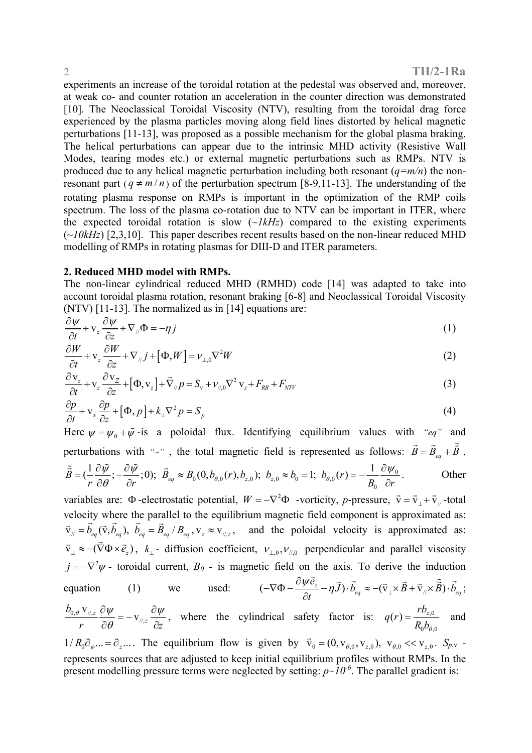experiments an increase of the toroidal rotation at the pedestal was observed and, moreover, at weak co- and counter rotation an acceleration in the counter direction was demonstrated [10]. The Neoclassical Toroidal Viscosity (NTV), resulting from the toroidal drag force experienced by the plasma particles moving along field lines distorted by helical magnetic perturbations [11-13], was proposed as a possible mechanism for the global plasma braking. The helical perturbations can appear due to the intrinsic MHD activity (Resistive Wall Modes, tearing modes etc.) or external magnetic perturbations such as RMPs. NTV is produced due to any helical magnetic perturbation including both resonant (*q=m/n*) the nonresonant part ( $q \neq m/n$ ) of the perturbation spectrum [8-9,11-13]. The understanding of the rotating plasma response on RMPs is important in the optimization of the RMP coils spectrum. The loss of the plasma co-rotation due to NTV can be important in ITER, where the expected toroidal rotation is slow  $(\sim IkHz)$  compared to the existing experiments (*~10kHz*) [2,3,10]. This paper describes recent results based on the non-linear reduced MHD modelling of RMPs in rotating plasmas for DIII-D and ITER parameters.

## **2. Reduced MHD model with RMPs.**

The non-linear cylindrical reduced MHD (RMHD) code [14] was adapted to take into account toroidal plasma rotation, resonant braking [6-8] and Neoclassical Toroidal Viscosity (NTV) [11-13]. The normalized as in [14] equations are:

$$
\frac{\partial \psi}{\partial t} + \mathbf{v}_z \frac{\partial \psi}{\partial z} + \nabla_{\mu} \Phi = -\eta j \tag{1}
$$

$$
\frac{\partial W}{\partial t} + \mathbf{v}_z \frac{\partial W}{\partial z} + \nabla_{\mu} j + [\Phi, W] = \nu_{\perp,0} \nabla^2 W \tag{2}
$$

$$
\frac{\partial \mathbf{v}_z}{\partial t} + \mathbf{v}_z \frac{\partial \mathbf{v}_z}{\partial z} + [\Phi, \mathbf{v}_z] + \vec{\nabla}_{\mu} p = S_{\mathbf{v}} + \nu_{\mu,0} \nabla^2 \mathbf{v}_z + F_{RB} + F_{NTV}
$$
\n(3)

$$
\frac{\partial p}{\partial t} + \mathbf{v}_z \frac{\partial p}{\partial z} + [\Phi, p] + k_\perp \nabla^2 p = S_p \tag{4}
$$

Here  $\psi = \psi_0 + \tilde{\psi}$ -is a poloidal flux. Identifying equilibrium values with *"eq"* and perturbations with "~", the total magnetic field is represented as follows:  $\vec{B} = \vec{B}_{eq} + \vec{\hat{B}}$ ,  $b_0(0, b_{\theta,0}(r), b_{z,0}); b_{z,0} \approx b_0 = 1; b_{\theta,0}(r) = -\frac{1}{R} \frac{\partial \varphi_0}{\partial x}$  $\tilde{\vec{B}} = (\frac{1}{r} \frac{\partial \tilde{\psi}}{\partial \theta}; -\frac{\partial \tilde{\psi}}{\partial r}; 0); \ \vec{B}_{eq} \approx B_0(0, b_{\theta,0}(r), b_{z,0}); \ b_{z,0} \approx b_0 = 1; \ b_{\theta,0}(r) = -\frac{1}{B_0} \frac{\partial \psi}{\partial r}$  $\tilde{\vec{B}} = (\frac{1}{r} \frac{\partial \tilde{\psi}}{\partial \theta}; -\frac{\partial \tilde{\psi}}{\partial r}; 0); \ \vec{B}_{eq} \approx B_0(0, b_{\theta,0}(r), b_{z,0}); \ b_{z,0} \approx b_0 = 1; \ b_{\theta,0}(r) = -\frac{1}{B_0} \frac{\partial \psi_0}{\partial r}.$  Other

variables are:  $\Phi$ -electrostatic potential,  $W = -\nabla^2 \Phi$  -vorticity, *p*-pressure,  $\vec{v} = \vec{v}_{\perp} + \vec{v}_{\parallel}$ -total velocity where the parallel to the equilibrium magnetic field component is approximated as:  $\vec{v}_\text{M} = \vec{b}_{eq}(\vec{v}, \vec{b}_{eq})$ ,  $\vec{b}_{eq} = \vec{B}_{eq}/B_{eq}$ ,  $v_z \approx v_{\text{M},z}$ , and the poloidal velocity is approximated as:  $\vec{v}_\perp \approx -(\vec{\nabla}\Phi \times \vec{e}_z)$ ,  $k_\perp$ - diffusion coefficient,  $v_{\perp,0}, v_{\parallel,0}$  perpendicular and parallel viscosity  $j = -\nabla^2 \psi$  - toroidal current,  $B_0$  - is magnetic field on the axis. To derive the induction equation (1) we used:  $(-\nabla \Phi - \frac{\partial \psi \vec{e}_z}{\partial x} - \eta \vec{J}) \cdot \vec{b}_{eq} \approx -(\vec{v}_\perp \times \vec{B} + \vec{v}_\parallel \times \tilde{\vec{B}}) \cdot \vec{b}_{eq}$  $-\nabla\Phi - \frac{\partial\psi\vec{e}_z}{\partial t} - \eta\vec{J})\cdot\vec{b}_{eq} \approx -(\vec{\mathrm{v}}_{\perp}\times\vec{B} + \vec{\mathrm{v}}_{\parallel}\times\vec{\tilde{B}})\cdot\vec{b}_{eq}$ ∂  $\vec{e}_{z}$  -  $\eta \vec{J} \cdot \vec{b}_{eq} \approx -(\vec{v}_{\perp} \times \vec{B} + \vec{v}_{\parallel} \times \tilde{\vec{B}}) \cdot \vec{b}_{eq}$ ;  $0,\theta \triangle^{V}/\theta$ //,  $\frac{\nabla_{\parallel,z}}{\cdot} \frac{\partial \psi}{\partial \rho} = -\mathbf{V}_{\parallel,z}$ *b r*  $\partial \theta$   $\qquad \qquad$   $\partial z$  $\theta$   $V_{\parallel, z}$   $\theta \psi$   $\qquad \qquad \theta \psi$  $\frac{\partial \psi}{\partial \theta} = -v_{\pi,z} \frac{\partial \psi}{\partial z}$ , where the cylindrical safety factor is:  $q(r) = \frac{rb_{z,0}}{R_0b_{\theta}}$  $_{0}\omega_{\theta,0}$  $q(r) = \frac{R_{\mathcal{Q}_{z,0}}}{R_0 b_{\theta,0}}$  and

 $1/R_0 \partial_\varphi \dots = \partial_z \dots$ . The equilibrium flow is given by  $\vec{v}_0 = (0, v_{\theta,0}, v_{z,0})$ ,  $v_{\theta,0} \ll v_{z,0}$ .  $S_{p,v}$ represents sources that are adjusted to keep initial equilibrium profiles without RMPs. In the present modelling pressure terms were neglected by setting:  $p \sim 10^{-6}$ . The parallel gradient is: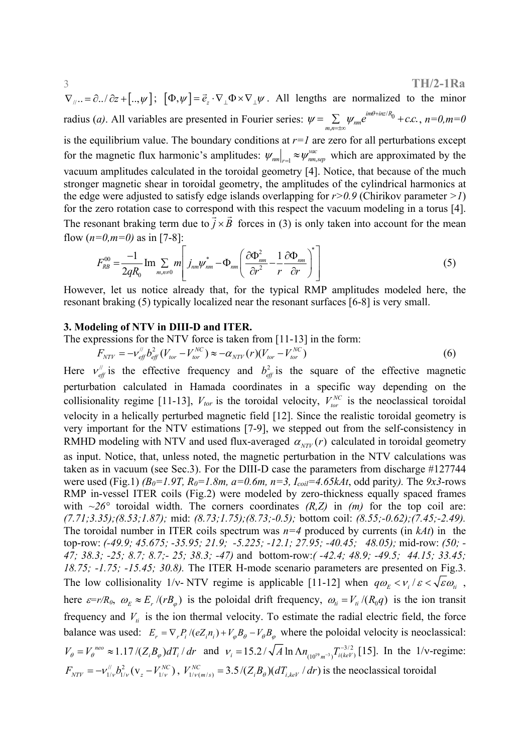#### 3 **TH/2-1Ra**

 $\nabla_{\mu} = \partial_{\mu} \partial_{\mu} \partial_{\mu} = \partial_{\mu} \partial_{\mu} \partial_{\nu} \partial_{\nu} = \partial_{\mu} \partial_{\mu} \partial_{\nu} \partial_{\nu} \partial_{\nu} + \partial_{\mu} \partial_{\mu} \partial_{\nu} \partial_{\nu}$ . All lengths are normalized to the minor radius (*a*). All variables are presented in Fourier series:  $\psi = \sum_{m,n=\pm \infty} \psi_{nm} e^{im\theta + inz/R_0}$  $\lim_{\theta \to inz/R_0} + c.c.$  $\psi = \sum_{m,n=\pm\infty} \psi_{nm} e^{im\theta + inz/R_0} + c.c.$ ,  $n=0, m=0$ is the equilibrium value. The boundary conditions at *r=1* are zero for all perturbations except for the magnetic flux harmonic's amplitudes:  $\psi_{nm}|_{r=1} \approx \psi_{nm,sep}^{vac}$  which are approximated by the vacuum amplitudes calculated in the toroidal geometry [4]. Notice, that because of the much stronger magnetic shear in toroidal geometry, the amplitudes of the cylindrical harmonics at

the edge were adjusted to satisfy edge islands overlapping for *r>0.9* (Chirikov parameter *>1*) for the zero rotation case to correspond with this respect the vacuum modeling in a torus [4]. The resonant braking term due to  $\vec{j} \times \vec{B}$  forces in (3) is only taken into account for the mean flow  $(n=0, m=0)$  as in [7-8]:

$$
F_{RB}^{00} = \frac{-1}{2qR_0} \operatorname{Im} \sum_{m,n \neq 0} m \left[ j_{nm} \psi_{nm}^* - \Phi_{nm} \left( \frac{\partial \Phi_{nm}^2}{\partial r^2} - \frac{1}{r} \frac{\partial \Phi_{nm}}{\partial r} \right)^* \right]
$$
(5)

However, let us notice already that, for the typical RMP amplitudes modeled here, the resonant braking (5) typically localized near the resonant surfaces [6-8] is very small.

### **3. Modeling of NTV in DIII-D and ITER.**

The expressions for the NTV force is taken from [11-13] in the form:

$$
F_{NTV} = -\nu_{\text{eff}}^{\text{}} b_{\text{eff}}^2 (V_{\text{tor}} - V_{\text{tor}}^{NC}) \approx -\alpha_{NTV}(r) (V_{\text{tor}} - V_{\text{tor}}^{NC}) \tag{6}
$$

Here  $v_{\text{eff}}^{\prime\prime}$  is the effective frequency and  $b_{\text{eff}}^2$  is the square of the effective magnetic perturbation calculated in Hamada coordinates in a specific way depending on the collisionality regime [11-13],  $V_{tor}$  is the toroidal velocity,  $V_{tor}^{NC}$  is the neoclassical toroidal velocity in a helically perturbed magnetic field [12]. Since the realistic toroidal geometry is very important for the NTV estimations [7-9], we stepped out from the self-consistency in RMHD modeling with NTV and used flux-averaged  $\alpha_{NTV}(r)$  calculated in toroidal geometry as input. Notice, that, unless noted, the magnetic perturbation in the NTV calculations was taken as in vacuum (see Sec.3). For the DIII-D case the parameters from discharge #127744 were used (Fig.1) *(B<sub>0</sub>*=1.9T,  $R_0$ =1.8m,  $a$ =0.6m,  $n=3$ ,  $I_{coil}=4.65kAt$ , odd parity). The 9x3-rows RMP in-vessel ITER coils (Fig.2) were modeled by zero-thickness equally spaced frames with  $\sim$ 26° toroidal width. The corners coordinates *(R,Z)* in *(m)* for the top coil are: *(7.71;3.35);(8.53;1.87);* mid: *(8.73;1.75);(8.73;-0.5);* bottom coil: *(8.55;-0.62);(7.45;-2.49).*  The toroidal number in ITER coils spectrum was *n=4* produced by currents (in *kAt*) in the top-row: *(-49.9; 45.675; -35.95; 21.9; -5.225; -12.1; 27.95; -40.45; 48.05);* mid-row: *(50; - 47; 38.3; -25; 8.7; 8.7;- 25; 38.3; -47)* andbottom-row:*( -42.4; 48.9; -49.5; 44.15; 33.45; 18.75; -1.75; -15.45; 30.8).* The ITER H-mode scenario parameters are presented on Fig.3. The low collisionality 1/v- NTV regime is applicable [11-12] when  $q\omega_{\rm E} < v_i/\varepsilon < \sqrt{\varepsilon} \omega_{\rm E}$ , here  $\varepsilon = r/R_0$ ,  $\omega_E \approx E_r / (rB_\phi)$  is the poloidal drift frequency,  $\omega_i = V_i / (R_0 q)$  is the ion transit frequency and  $V_{ti}$  is the ion thermal velocity. To estimate the radial electric field, the force balance was used:  $E_r = \nabla_r P_i / (eZ_i n_i) + V_\varphi B_\theta - V_\theta B_\varphi$  where the poloidal velocity is neoclassical:  $V_{\theta} = V_{\theta}^{neo} \approx 1.17 / (Z_i B_{\varphi}) dT_i / dr$  and  $V_i = 15.2 / \sqrt{A} \ln \Lambda n_{(10^{19} m^{-3})} T_{i(keV)}^{-3/2}$  [15]. In the 1/v-regime:  $F_{NTV} = -v_{1/v}^{//}b_{1/v}^2 (v_z - V_{1/v}^{NC})$ ,  $V_{1/v(m/s)}^{NC} = 3.5/(Z_i B_i)(dT_{i,keV}/dr)$  is the neoclassical toroidal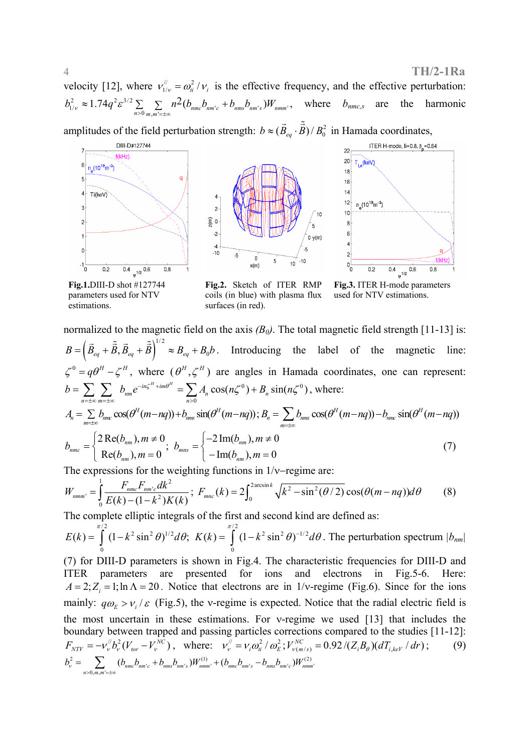velocity [12], where  $v''_{1/\nu} = \omega_a^2 / \nu_i$  is the effective frequency, and the effective perturbation: 2  $\approx 1.74 \times 2 \times 3^{3/2}$  $b_{1/\nu}^2 \approx 1.74 q^2 \varepsilon^{3/2} \sum_{n>0} \sum_{m,m'= \pm \infty} n^2 (b_{nmc} b_{nm'c} + b_{nms} b_{nm's}) W_{nmm'}$  $\approx 1.74q^2\varepsilon^{3/2} \sum_{n>0} \sum_{m,m'= \pm \infty} n^2 (b_{nmc} b_{nm'c} + b_{nms} b_{nm's}) W_{nmm'}$ , where  $b_{nmc,s}$  are the harmonic

amplitudes of the field perturbation strength:  $b \approx (\vec{B}_{eq} \cdot \vec{\hat{B}})/B_0^2$  in Hamada coordinates,



**Fig.1.**DIII-D shot #127744 parameters used for NTV estimations.

**Fig.2.** Sketch of ITER RMP coils (in blue) with plasma flux surfaces (in red).

**Fig.3.** ITER H-mode parameters used for NTV estimations.

normalized to the magnetic field on the axis  $(B_0)$ . The total magnetic field strength [11-13] is:  $\left( B_{eq}+B,B_{eq}+B\right)$  $B = (\vec{B}_{eq} + \vec{B}, \vec{B}_{eq} + \vec{B})^{1/2} \approx B_{eq} + B_0 b$ . Introducing the label of the magnetic line:  $\zeta^0 = q\theta^H - \zeta^H$ , where  $(\theta^H, \zeta^H)$  are angles in Hamada coordinates, one can represent:  $0 \rightarrow D \sin(n \epsilon^0)$  $\boldsymbol{0}$  $C_{nm}e^{-in\zeta^H+im\theta^H} = \sum A_n \cos(n\zeta^0) + B_n \sin(n\zeta^0)$  $n = \pm \infty$  *m*  $n = \pm \infty$  *n*  $b = \sum_{n} \sum_{m} b_{nm} e^{-in\zeta^H + im\theta^H} = \sum_{n} A_n \cos(n\zeta^0) + B_n \sin(n\zeta^0)$  $=\sum_{n=\pm\infty}\sum_{m=\pm\infty}b_{nm}e^{-in\zeta^H+im\theta^H}=\sum_{n>0}A_n\cos(n\zeta^0)+B_n\sin(n\zeta^0)$ , where:  $c_n A_n = \sum_{m \to \infty} b_{mnc} \cos(\theta^H(m-nq)) + b_{mns} \sin(\theta^H(m-nq))$ ;  $B_n = \sum_{m \to \infty} b_{mns} \cos(\theta^H(m-nq)) - b_{mnc} \sin(\theta^H(m-nq))$ *m*  $B_n = \sum b_{n m s} \cos(\theta^H(m-nq)) - b_{n m s} \sin(\theta^H(m-nq))$  $=\sum_{m=\pm\infty}b_{mn}\cos(\theta^H(m-nq)) - b_{nmc}\sin(\theta^H(m-p))$  $2 \text{Re}(b_{nm}), m \neq 0$   $\qquad -2 \text{Im}(b_{nm}), m \neq 0$  $\mathcal{R} = \begin{cases} \text{Ric}(U_{nm}), m \neq 0 \\ \text{Ric}(b_{nm}), m = 0 \end{cases}$ ,  $b_{mns} = \begin{cases} 2 \text{ min}(U_{nm}), m \neq 0 \\ -\text{Im}(b_{nm}), m = 0 \end{cases}$  $nmc = \frac{1}{n}$   $\frac{n}{L}$   $\frac{n}{L}$   $\frac{n}{L}$   $\frac{n}{L}$   $\frac{n}{L}$  $_{nm}$ ,  $m - \sigma$   $\qquad \qquad$   $\qquad \qquad$   $\qquad$   $\qquad$   $\qquad \qquad$   $\qquad$   $\qquad$   $\qquad$   $\qquad$   $\qquad$   $\qquad$   $\qquad$   $\qquad$   $\qquad$   $\qquad$   $\qquad$   $\qquad$   $\qquad$   $\qquad$   $\qquad$   $\qquad$   $\qquad$   $\qquad$   $\qquad$   $\qquad$   $\qquad$   $\qquad$   $\qquad$   $\qquad$   $\qquad$   $\qquad$   $\qquad$   $\qquad$   $b_{\text{mnc}} = \begin{cases} 2 \text{Re}(b_{\text{nm}}), m \neq 0 \\ 2 \text{Re}(b_{\text{nm}}), m \neq 0 \end{cases}$   $b_{\text{mnc}} = \begin{cases} -2 \text{Im}(b_{\text{nm}}), m_{\text{mnc}} \end{cases}$  $b = \begin{cases} 2 \text{Re}(b_{nm}), m \neq 0 \\ \text{Re}(b_{nm}), m = 0 \end{cases}$ ;  $b_{mns} = \begin{cases} -2 \text{Im}(b_{nm}), m \neq 0 \\ -\text{Im}(b_{nm}), m = 0 \end{cases}$  (7)

The expressions for the weighting functions in 1/ν−regime are:

$$
W_{nmm'} = \int_0^1 \frac{F_{nmc} F_{nmc'} dk^2}{E(k) - (1 - k^2)K(k)}; \ F_{mnc}(k) = 2 \int_0^{2 \arcsin k} \sqrt{k^2 - \sin^2(\theta/2)} \cos(\theta(m - nq)) d\theta \tag{8}
$$

The complete elliptic integrals of the first and second kind are defined as:

 $\pi/2$   $\pi/2$  $^{2}$  ain<sup>2</sup>  $\Omega^{1/2}$  d $\Omega$ .  $V(k) = \int (1 - k^{2} \sin^{2} \Omega)^{-1/2}$ 0 0  $E(k) = \int_0^{\pi/2} (1 - k^2 \sin^2 \theta)^{1/2} d\theta$ ;  $K(k) = \int_0^{\pi/2} (1 - k^2 \sin^2 \theta)^{-1/2} d\theta$ . The perturbation spectrum  $|b_{nm}|$ 

(7) for DIII-D parameters is shown in Fig.4. The characteristic frequencies for DIII-D and ITER parameters are presented for ions and electrons in Fig.5-6. Here:  $A = 2$ ;  $Z_i = 1$ ; ln  $\Lambda = 20$ . Notice that electrons are in 1/v-regime (Fig.6). Since for the ions mainly:  $q\omega_{\rm E} > v_i/\varepsilon$  (Fig.5), the v-regime is expected. Notice that the radial electric field is the most uncertain in these estimations. For ν-regime we used [13] that includes the boundary between trapped and passing particles corrections compared to the studies [11-12]:  $F_{NTV} = -v_v^{\#} b_v^2 (V_{tor} - V_v^{NC})$ , where:  $v_v^{\#} = v_i \omega_i^2 / \omega_E^2$ ;  $V_{v(m/s)}^{NC} = 0.92 / (Z_i B_\theta) (dT_{i,keV} / dr)$ ; (9)  $\sum_{n=0, m, m' = \pm \infty}^2 (b_{nmc} b_{nm'c} + b_{nms} b_{nm's}) W^{(1)}_{nmm'} + (b_{nmc} b_{nm's} - b_{nms} b_{nm's}) W^{(2)}_{nmmn'}$  $b_v^2 = \sum_{m} (b_{nmc} b_{nmc} + b_{nms} b_{nms}) W_{nmm}^{(1)} + (b_{nmc} b_{nms} - b_{nms} b_{nmc}) W_{nm}$  $=\sum_{n>0,m,m'= \pm \infty} (b_{nmc} b_{nm'c} + b_{nms} b_{nm's}) W^{(1)}_{nmm'} + (b_{nmc} b_{nm's} -$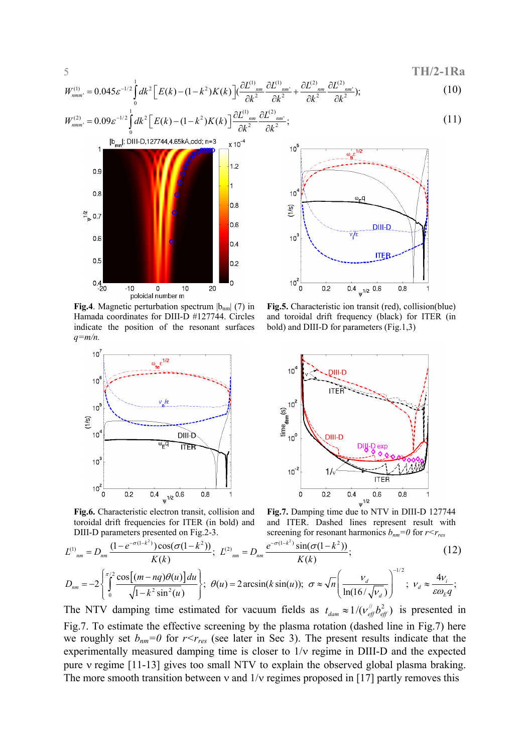$$
TH/2-1Ra
$$

$$
W_{nmm'}^{(1)} = 0.045 \varepsilon^{-1/2} \int_{0}^{1} dk^{2} \Big[ E(k) - (1 - k^{2}) K(k) \Big] \Big( \frac{\partial L_{nmm}^{(1)}}{\partial k^{2}} \frac{\partial L_{nm'}^{(1)}}{\partial k^{2}} + \frac{\partial L_{nm'}^{(2)}}{\partial k^{2}} \frac{\partial L_{nm'}^{(2)}}{\partial k^{2}} \Big); \tag{10}
$$

$$
W_{mmn'}^{(2)} = 0.09 \varepsilon^{-1/2} \int_{0}^{1} dk^{2} \left[ E(k) - (1 - k^{2}) K(k) \right] \frac{\partial L^{(1)}}{\partial k^{2}} \frac{dL^{(2)}}{\partial k^{2}} \frac{dL^{(2)}}{\partial k^{2}}; \tag{11}
$$



**Fig.4**. Magnetic perturbation spectrum  $|b_{nm}|$  (7) in Hamada coordinates for DIII-D #127744. Circles indicate the position of the resonant surfaces *q=m/n.* 



**Fig.6.** Characteristic electron transit, collision and toroidal drift frequencies for ITER (in bold) and DIII-D parameters presented on Fig.2-3.



**Fig.5.** Characteristic ion transit (red), collision(blue) and toroidal drift frequency (black) for ITER (in bold) and DIII-D for parameters (Fig.1,3)



and ITER. Dashed lines represent result with screening for resonant harmonics  $b_{nm}=0$  for  $r < r_{res}$ 

$$
L^{(1)}_{nm} = D_{nm} \frac{(1 - e^{-\sigma(1 - k^2)}) \cos(\sigma(1 - k^2))}{K(k)}; \ L^{(2)}_{nm} = D_{nm} \frac{e^{-\sigma(1 - k^2)} \sin(\sigma(1 - k^2))}{K(k)}; \nD_{nm} = -2 \begin{cases} \pi/2 \cos[(m - nq)\theta(u)]du\\ \frac{L}{2} \cos[\theta(u)] \sin[\theta(u)] \\ \frac{L}{2} \cos[\theta(u)] \cos[\theta(u)] \cos[\theta(u)] \cos[\theta(u)] \cos[\theta(u)] \cos[\theta(u)] \cos[\theta(u)] \cos[\theta(u)] \cos[\theta(u)] \cos[\theta(u)] \cos[\theta(u)] \cos[\theta(u)] \cos[\theta(u)] \cos[\theta(u)] \cos[\theta(u)] \cos[\theta(u)] \cos[\theta(u)] \cos[\theta(u)] \cos[\theta(u)] \cos[\theta(u)] \cos[\theta(u)] \cos[\theta(u)] \cos[\theta(u)] \cos[\theta(u)] \cos[\theta(u)] \cos[\theta(u)] \cos[\theta(u)] \cos[\theta(u)] \cos[\theta(u)] \cos[\theta(u)] \cos[\theta(u)] \cos[\theta(u)] \cos[\theta(u)] \cos[\theta(u)] \cos[\theta(u)] \cos[\theta(u)] \cos[\theta(u)] \cos[\theta(u)] \cos[\theta(u)] \cos[\theta(u)] \cos[\theta(u)] \cos[\theta(u)] \cos[\theta(u)] \cos[\theta(u)] \cos[\theta(u)] \cos[\theta(u)] \cos[\theta(u)] \cos[\theta(u)] \cos[\theta(u)] \cos[\theta(u)] \cos[\theta(u)] \cos[\theta(u)] \cos[\theta(u)] \cos[\theta(u)] \cos[\theta(u)] \cos[\theta(u)] \cos[\theta(u)] \cos[\theta(u)] \cos[\theta(u)] \cos[\theta(u)] \cos[\theta(u)] \cos[\theta(u)] \cos[\theta(u)] \cos[\theta(u)] \cos[\theta(u)] \cos[\theta(u)] \cos[\theta(u)] \cos[\theta(u)] \cos[\theta(u)] \cos[\theta(u)] \cos[\theta(u)] \cos[\theta(u)] \cos[\theta(u)] \cos[\theta(u)] \cos[\theta(u)] \cos[\theta(u)] \cos[\theta(u)] \cos[\theta(u)] \cos[\theta(u)] \cos[\theta(u)] \cos[\theta(u)] \cos[\theta(u)] \cos[\theta(u)] \cos[\theta(u)] \cos[\theta(u)] \cos[\theta(u)] \cos[\theta(u)] \cos[\theta(u)] \cos[\theta(u)] \cos[\theta(u)] \cos[\theta(u)] \cos[\theta(u)] \cos[\theta(u)] \cos[\theta(u)] \cos[\theta(u)] \cos[\theta(u)] \cos[\theta(u)] \cos[\theta(u)] \cos[\theta(u)] \cos[\theta(u)] \cos[\theta(u)] \cos[\theta
$$

$$
D_{nm} = -2 \left\{ \int_0^1 \frac{\cos[(m-nq)\cos(n)]\sin}{\sqrt{1-k^2\sin^2(n)}} \right\}; \ \theta(u) = 2 \arcsin(k\sin(u)); \ \sigma \approx \sqrt{n} \left( \frac{v_d}{\ln(16/\sqrt{v_d})} \right) \quad ; \ \ v_d \approx \frac{4v_i}{\epsilon \omega_E q};
$$
  
The NTV damping time estimated for vacuum fields as  $t_{dam} \approx 1/(v_{eff}^{\mu} b_{eff}^2)$  is presented in  
Fig.7. To estimate the effective screening by the plasma rotation (dashed line in Fig.7) here

we roughly set  $b_{nm}=0$  for  $r < r_{res}$  (see later in Sec 3). The present results indicate that the experimentally measured damping time is closer to 1/ν regime in DIII-D and the expected pure ν regime [11-13] gives too small NTV to explain the observed global plasma braking. The more smooth transition between v and  $1/v$  regimes proposed in [17] partly removes this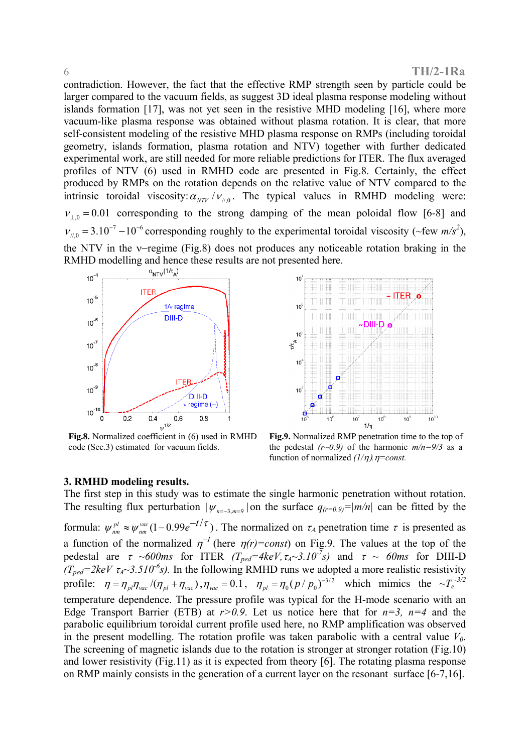#### 6 **TH/2-1Ra**

contradiction. However, the fact that the effective RMP strength seen by particle could be larger compared to the vacuum fields, as suggest 3D ideal plasma response modeling without islands formation [17], was not yet seen in the resistive MHD modeling [16], where more vacuum-like plasma response was obtained without plasma rotation. It is clear, that more self-consistent modeling of the resistive MHD plasma response on RMPs (including toroidal geometry, islands formation, plasma rotation and NTV) together with further dedicated experimental work, are still needed for more reliable predictions for ITER. The flux averaged profiles of NTV (6) used in RMHD code are presented in Fig.8. Certainly, the effect produced by RMPs on the rotation depends on the relative value of NTV compared to the intrinsic toroidal viscosity:  $\alpha_{NTV} / \nu_{\mu 0}$ . The typical values in RMHD modeling were:  $v_{\perp 0} = 0.01$  corresponding to the strong damping of the mean poloidal flow [6-8] and  $v_{\mu,0} = 3.10^{-7} - 10^{-6}$  corresponding roughly to the experimental toroidal viscosity (~few *m/s<sup>2</sup>*), the NTV in the ν−regime (Fig.8) does not produces any noticeable rotation braking in the RMHD modelling and hence these results are not presented here.



**Fig.8.** Normalized coefficient in (6) used in RMHD code (Sec.3) estimated for vacuum fields.



**Fig.9.** Normalized RMP penetration time to the top of the pedestal  $(r\sim 0.9)$  of the harmonic  $m/n=9/3$  as a function of normalized *(1/*η)*.*η*=const.*

#### **3. RMHD modeling results.**

The first step in this study was to estimate the single harmonic penetration without rotation. The resulting flux perturbation  $|\psi_{n=3 m=9}|$  on the surface  $q_{(r=0.9)}=|m/n|$  can be fitted by the formula:  $\psi_{nm}^{pl} \approx \psi_{nm}^{vac} (1-0.99 e^{-t/\tau})$ . The normalized on  $\tau_A$  penetration time  $\tau$  is presented as a function of the normalized  $\eta^{-1}$  (here  $\eta(r) = const$ ) on Fig.9. The values at the top of the pedestal are  $\tau \sim 600$ ms for ITER  $(T_{ped} = 4keV, \tau_A \sim 3.10^{-7}s)$  and  $\tau \sim 60$ ms for DIII-D  $(T_{ped}=2keV \tau_A \sim 3.510^{-6}s)$ . In the following RMHD runs we adopted a more realistic resistivity profile:  $\eta = \eta_{pl} \eta_{vac} / (\eta_{pl} + \eta_{vac})$ ,  $\eta_{vac} = 0.1$ ,  $\eta_{pl} = \eta_0 (p / p_0)^{-3/2}$  which mimics the  $\sim T_e^{-3/2}$ temperature dependence. The pressure profile was typical for the H-mode scenario with an Edge Transport Barrier (ETB) at  $r > 0.9$ . Let us notice here that for  $n=3$ ,  $n=4$  and the parabolic equilibrium toroidal current profile used here, no RMP amplification was observed in the present modelling. The rotation profile was taken parabolic with a central value  $V_0$ . The screening of magnetic islands due to the rotation is stronger at stronger rotation (Fig.10) and lower resistivity (Fig.11) as it is expected from theory [6]. The rotating plasma response on RMP mainly consists in the generation of a current layer on the resonant surface [6-7,16].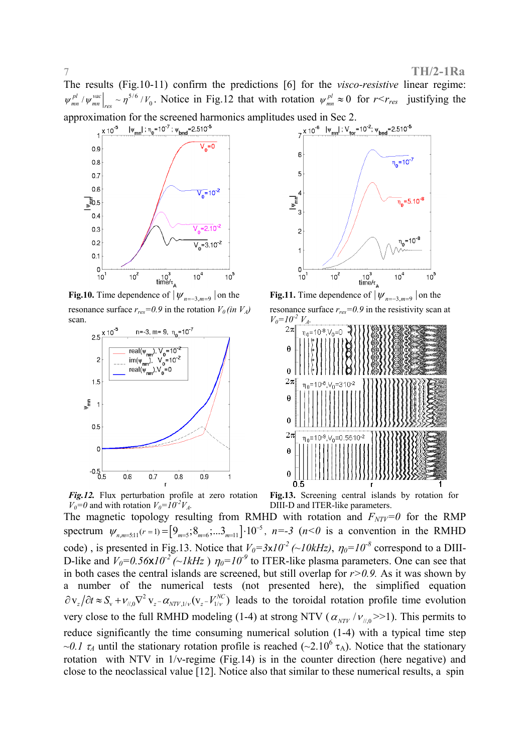The results (Fig.10-11) confirm the predictions [6] for the *visco-resistive* linear regime:  $w_{mn}^{pl}/w_{mn}^{vac}|_{res} \sim \eta^{5/6}/V_0$ . Notice in Fig.12 that with rotation  $\psi_{mn}^{pl} \approx 0$  for  $r < r_{res}$  justifying the approximation for the screened harmonics amplitudes used in Sec 2.<br>  $\frac{1 \times 10^{-5}}{2 \times 10^{-6}} \frac{|\psi_{mn}|: \eta_0 = 10^{-7}: \psi_{bnd} = 2.510^{-5}}{2 \times 10^{-6}}$ 



**Fig.10.** Time dependence of  $|\psi_{n=-3,m=9}|$  on the resonance surface  $r_{res}=0.9$  in the rotation  $V_0$  (in  $V_A$ ) scan.





**Fig.11.** Time dependence of  $|\psi_{n=-3,m=9}|$  on the resonance surface  $r_{res}$ =0.9 in the resistivity scan at



*Fig.12.* Flux perturbation profile at zero rotation  $V_0=0$  and with rotation  $V_0=10^{-2}V_A$ .

**Fig.13.** Screening central islands by rotation for DIII-D and ITER-like parameters.

The magnetic topology resulting from RMHD with rotation and  $F_{NTV}=0$  for the RMP spectrum  $\psi_{n,m=5:11}(r=1) = \left[9_{m=5}; 8_{m=6}; \dots 3_{m=11}\right] \cdot 10^{-5}$ ,  $n=-3$  ( $n < 0$  is a convention in the RMHD code), is presented in Fig.13. Notice that  $V_0=3\times10^{-2}$  (~10kHz),  $\eta_0=10^{-8}$  correspond to a DIII-D-like and  $V_0=0.56\times10^{-2}$  (~1kHz)  $\eta_0=10^{-9}$  to ITER-like plasma parameters. One can see that in both cases the central islands are screened, but still overlap for  $r > 0.9$ . As it was shown by a number of the numerical tests (not presented here), the simplified equation  $\partial v_z / \partial t \approx S_v + v_{\mu,0} \nabla^2 v_z - \alpha_{NTV,1/v} (v_z - V_{1/v}^{\text{NC}})$  leads to the toroidal rotation profile time evolution very close to the full RMHD modeling (1-4) at strong NTV ( $\alpha_{NTV}/v_{\text{N,0}} >> 1$ ). This permits to reduce significantly the time consuming numerical solution (1-4) with a typical time step *~0.1*  $\tau_A$  until the stationary rotation profile is reached (~2.10<sup>6</sup>  $\tau_A$ ). Notice that the stationary rotation with NTV in 1/ν-regime (Fig.14) is in the counter direction (here negative) and close to the neoclassical value [12]. Notice also that similar to these numerical results, a spin